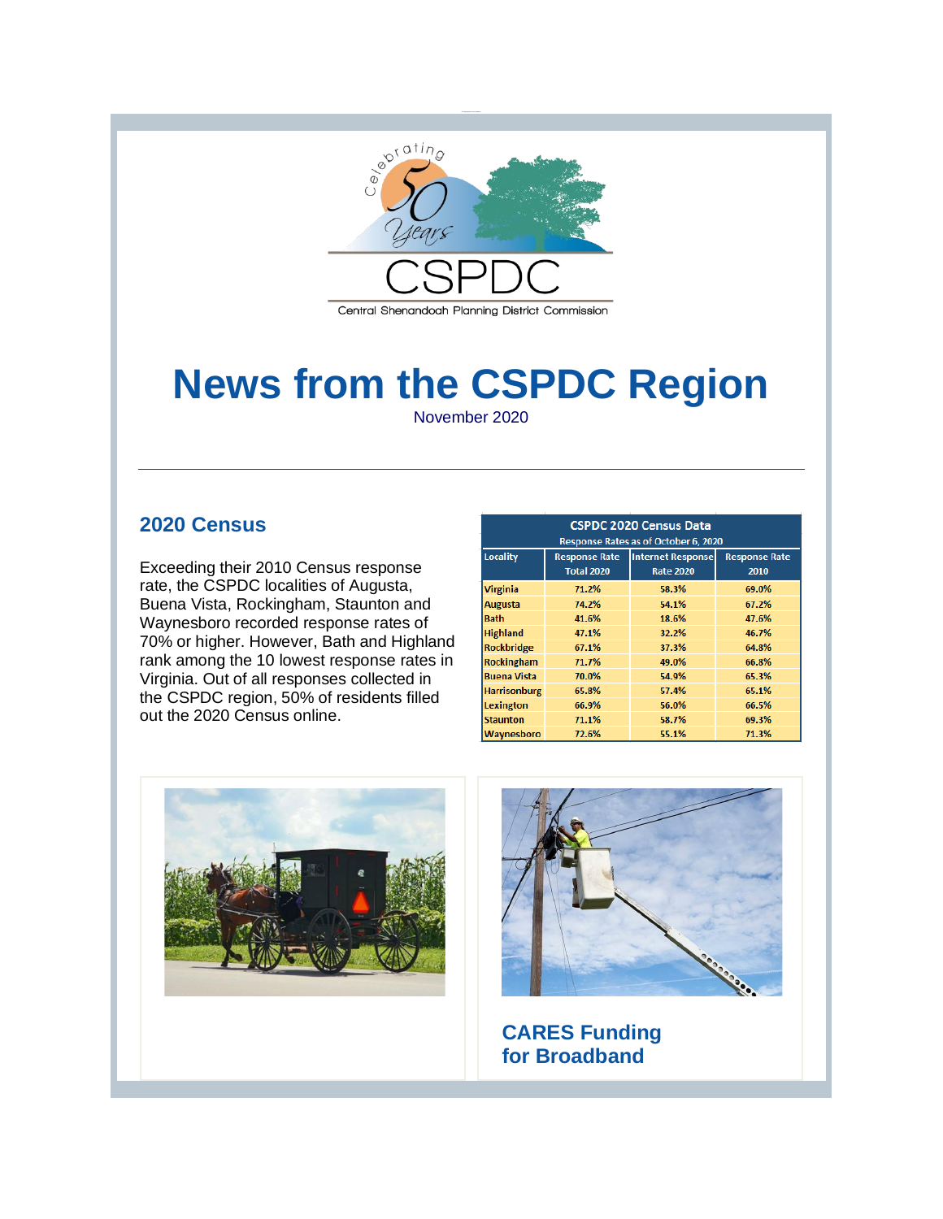

# **News from the CSPDC Region** November 2020

#### **2020 Census**

Exceeding their 2010 Census response rate, the CSPDC localities of Augusta, Buena Vista, Rockingham, Staunton and Waynesboro recorded response rates of 70% or higher. However, Bath and Highland rank among the 10 lowest response rates in Virginia. Out of all responses collected in the CSPDC region, 50% of residents filled out the 2020 Census online.

| <b>CSPDC 2020 Census Data</b>        |                                           |                                              |                              |
|--------------------------------------|-------------------------------------------|----------------------------------------------|------------------------------|
| Response Rates as of October 6, 2020 |                                           |                                              |                              |
| Locality                             | <b>Response Rate</b><br><b>Total 2020</b> | <b>Internet Response</b><br><b>Rate 2020</b> | <b>Response Rate</b><br>2010 |
| <b>Virginia</b>                      | 71.2%                                     | 58.3%                                        | 69.0%                        |
| <b>Augusta</b>                       | 74.2%                                     | 54.1%                                        | 67.2%                        |
| <b>Bath</b>                          | 41.6%                                     | 18.6%                                        | 47.6%                        |
| <b>Highland</b>                      | 47.1%                                     | 32.2%                                        | 46.7%                        |
| <b>Rockbridge</b>                    | 67.1%                                     | 37.3%                                        | 64.8%                        |
| Rockingham                           | 71.7%                                     | 49.0%                                        | 66.8%                        |
| <b>Buena Vista</b>                   | 70.0%                                     | 54.9%                                        | 65.3%                        |
| <b>Harrisonburg</b>                  | 65.8%                                     | 57.4%                                        | 65.1%                        |
| Lexington                            | 66.9%                                     | 56.0%                                        | 66.5%                        |
| <b>Staunton</b>                      | 71.1%                                     | 58.7%                                        | 69.3%                        |
| Waynesboro                           | 72.6%                                     | 55.1%                                        | 71.3%                        |





**CARES Funding for Broadband**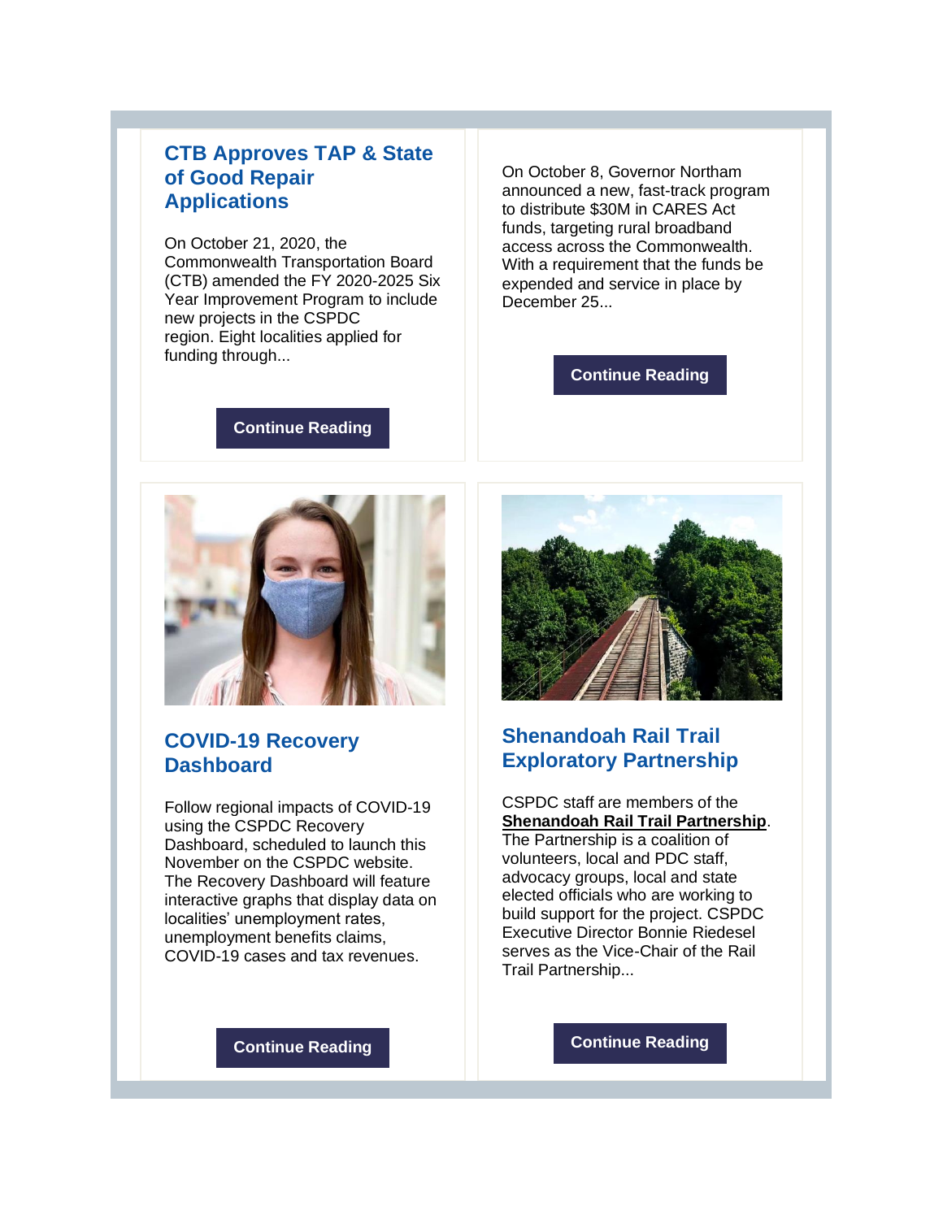### **CTB Approves TAP & State of Good Repair Applications**

On October 21, 2020, the Commonwealth Transportation Board (CTB) amended the FY 2020-2025 Six Year Improvement Program to include new projects in the CSPDC region. Eight localities applied for funding through...

On October 8, Governor Northam announced a new, fast-track program to distribute \$30M in CARES Act funds, targeting rural broadband access across the Commonwealth. With a requirement that the funds be expended and service in place by December 25...

#### **[Continue Reading](http://r20.rs6.net/tn.jsp?f=001QXRxc6kh5M_Vx0HXmuaCUmlw3cDzr7RaiAcLT0CjmOF-r3gibYpAxmges-xMluUpcxhFLUfA9PoVHIUZA62TRNFzrIhiBjo5hbIvBuo47z7tbDJ0bf3Z7AcKPNkSIY8zsMVjIeiliaTlmXad1DJyLRy9kCUBm_2tgRM4_8J9TU930tO490gRvO0YXOqpEPtBXK5nZyDPeOg=&c=L98p9Iwpe-HlFPFmjW9HopSRea0SAHSpBge6Uy4OzEBNCdIxYntpRg==&ch=wItw0GFX5sW61q5vnAv0fmzVhu0bwmD2EPOZf3jgIlbcfBQRPetmNg==)**

**[Continue Reading](http://r20.rs6.net/tn.jsp?f=001QXRxc6kh5M_Vx0HXmuaCUmlw3cDzr7RaiAcLT0CjmOF-r3gibYpAxmges-xMluUpiBJWSEp-7PCTCNOg_TDv3eFVEfTNTqQ8BpbEIRh6McQZdL4t9eXoBLMgwgJ0nPjLcGRfc27mAkEKRbfhJM2U5KYfSPpmLw5HNjShGFMLce5ws8xoUp5q6M7ToHL2gyH8gS1ygE2q8OQ11EMFpid_dpf2sHkD5MHOXUKAnJTqQEs=&c=L98p9Iwpe-HlFPFmjW9HopSRea0SAHSpBge6Uy4OzEBNCdIxYntpRg==&ch=wItw0GFX5sW61q5vnAv0fmzVhu0bwmD2EPOZf3jgIlbcfBQRPetmNg==)**



### **COVID-19 Recovery Dashboard**

Follow regional impacts of COVID-19 using the CSPDC Recovery Dashboard, scheduled to launch this November on the CSPDC website. The Recovery Dashboard will feature interactive graphs that display data on localities' unemployment rates, unemployment benefits claims, COVID-19 cases and tax revenues.



# **Shenandoah Rail Trail Exploratory Partnership**

CSPDC staff are members of the **[Shenandoah Rail Trail Partnership](http://r20.rs6.net/tn.jsp?f=001QXRxc6kh5M_Vx0HXmuaCUmlw3cDzr7RaiAcLT0CjmOF-r3gibYpAxtKMfz2dLiHE9ym-ID4oCx5Q-OEBdeoJJDQpBp3c5f-a-yDQhLOQiF293gbq9RO-yqcXgN6jaBj-u88IRRHbhhCiWZh_zd_KVUKyDWFwI401qq6dbAISQ5yJRu8GjCj8PcYZ-PnmqbZguThcmSjEqqjbey9IYmn07Q==&c=L98p9Iwpe-HlFPFmjW9HopSRea0SAHSpBge6Uy4OzEBNCdIxYntpRg==&ch=wItw0GFX5sW61q5vnAv0fmzVhu0bwmD2EPOZf3jgIlbcfBQRPetmNg==)**. The Partnership is a coalition of volunteers, local and PDC staff, advocacy groups, local and state elected officials who are working to build support for the project. CSPDC Executive Director Bonnie Riedesel serves as the Vice-Chair of the Rail Trail Partnership...

**[Continue Reading](http://r20.rs6.net/tn.jsp?f=001QXRxc6kh5M_Vx0HXmuaCUmlw3cDzr7RaiAcLT0CjmOF-r3gibYpAxmges-xMluUpVK4eZQZfcMBZrFPFzdfcL0MW_ee9VcggxY83ECJ5Bt-flNtgEcwyzsvPNESnrDqjt1E7nlatJPt9TpoyN1Q9y_UK0a2fvRQL2hwSmhoPY_fXDjZf_-QfHPI65WVVU5OXOy2yanSUBlrGDaJYB1fJ4w==&c=L98p9Iwpe-HlFPFmjW9HopSRea0SAHSpBge6Uy4OzEBNCdIxYntpRg==&ch=wItw0GFX5sW61q5vnAv0fmzVhu0bwmD2EPOZf3jgIlbcfBQRPetmNg==)**

**[Continue Reading](http://r20.rs6.net/tn.jsp?f=001QXRxc6kh5M_Vx0HXmuaCUmlw3cDzr7RaiAcLT0CjmOF-r3gibYpAxmges-xMluUpa3au_IKEq4-46oLxDAbFzLD98FeK9YX97UTmybE_HUnDIWboLONRymdPKsEcJBaGULm9D37-JnpU2Zmo_pz-Hh8nkn_ihsXcYaROphJkkvyO3yPJNun1L0u_IFOdLQ8WzGt7SuEShjbhRQMts8eQxCBQkAgnrgehn_4O1xVHhya6p0ECrYqMRQ==&c=L98p9Iwpe-HlFPFmjW9HopSRea0SAHSpBge6Uy4OzEBNCdIxYntpRg==&ch=wItw0GFX5sW61q5vnAv0fmzVhu0bwmD2EPOZf3jgIlbcfBQRPetmNg==)**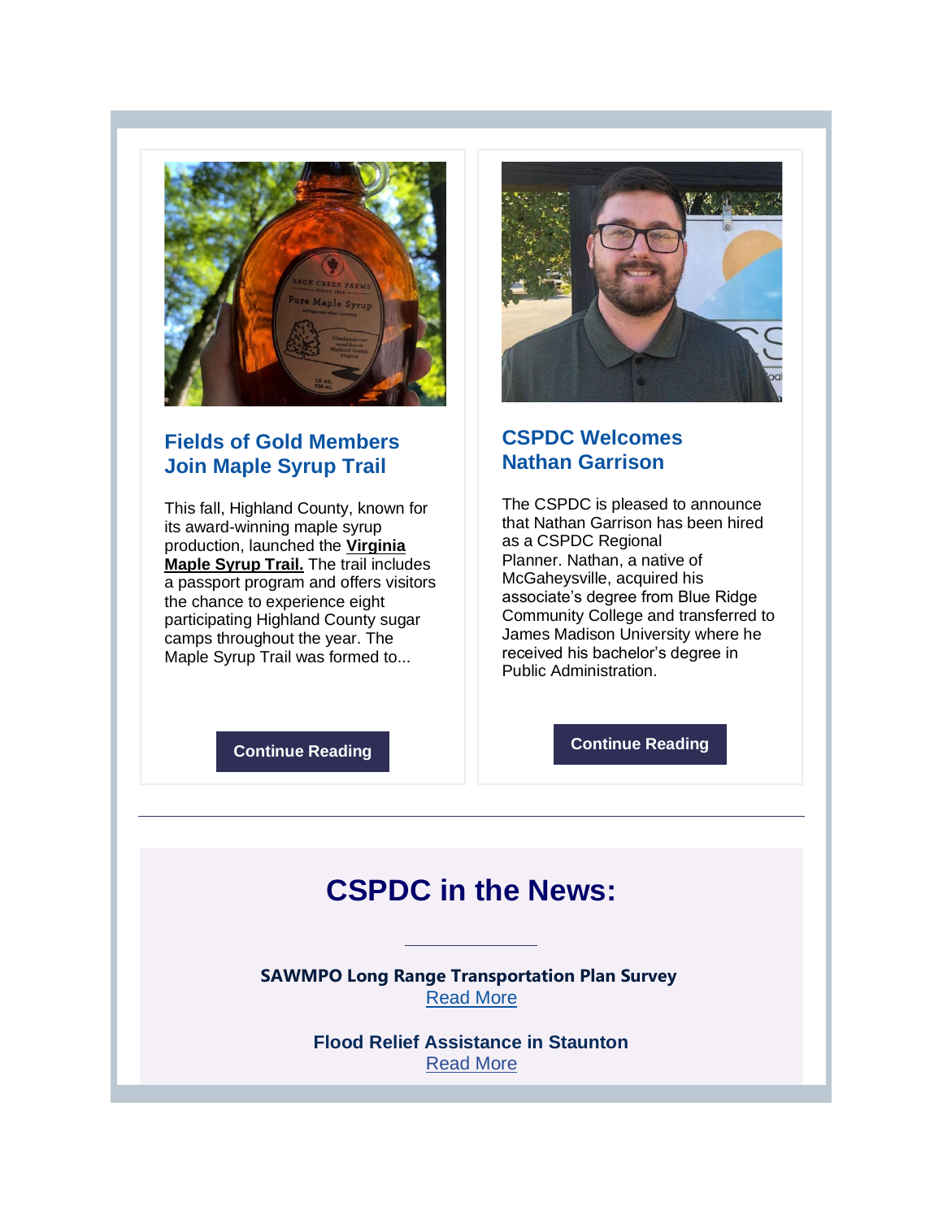

## **Fields of Gold Members Join Maple Syrup Trail**

This fall, Highland County, known for its award-winning maple syrup production, launched the **[Virginia](http://r20.rs6.net/tn.jsp?f=001QXRxc6kh5M_Vx0HXmuaCUmlw3cDzr7RaiAcLT0CjmOF-r3gibYpAxmges-xMluUpnNU1RRfGGnugJGsQZ1XZEekVb-NDmgR11wdH674Rqe4Az2WFdiSk3F2Wpa-kq68_-hvDk1horjtHO9R0LdlZVroQfCeeYtdHJUcbmg_j2KtrFnCFYbyDFIlxNzZRN4jG&c=L98p9Iwpe-HlFPFmjW9HopSRea0SAHSpBge6Uy4OzEBNCdIxYntpRg==&ch=wItw0GFX5sW61q5vnAv0fmzVhu0bwmD2EPOZf3jgIlbcfBQRPetmNg==)  [Maple Syrup Trail.](http://r20.rs6.net/tn.jsp?f=001QXRxc6kh5M_Vx0HXmuaCUmlw3cDzr7RaiAcLT0CjmOF-r3gibYpAxmges-xMluUpnNU1RRfGGnugJGsQZ1XZEekVb-NDmgR11wdH674Rqe4Az2WFdiSk3F2Wpa-kq68_-hvDk1horjtHO9R0LdlZVroQfCeeYtdHJUcbmg_j2KtrFnCFYbyDFIlxNzZRN4jG&c=L98p9Iwpe-HlFPFmjW9HopSRea0SAHSpBge6Uy4OzEBNCdIxYntpRg==&ch=wItw0GFX5sW61q5vnAv0fmzVhu0bwmD2EPOZf3jgIlbcfBQRPetmNg==)** The trail includes a passport program and offers visitors the chance to experience eight participating Highland County sugar camps throughout the year. The Maple Syrup Trail was formed to...



### **CSPDC Welcomes Nathan Garrison**

The CSPDC is pleased to announce that Nathan Garrison has been hired as a CSPDC Regional Planner. Nathan, a native of McGaheysville, acquired his associate's degree from Blue Ridge Community College and transferred to James Madison University where he received his bachelor's degree in Public Administration.

**[Continue Reading](http://r20.rs6.net/tn.jsp?f=001QXRxc6kh5M_Vx0HXmuaCUmlw3cDzr7RaiAcLT0CjmOF-r3gibYpAxmges-xMluUplqpaERYdz6ZVmrRlNNTuEqc6DX_6pc5eN358RDMbD6eb9A2N_rxLKqgatGgX6GgEJdMvAdW2TKzvY3p61zGqaxaruVgH92bO8a4iflmYxRLCFQ6hDPcMfcMhhOtme6crTdIgwHDz_jaHWYq5IITqmEeamFAUyjIUe7racFDmGBQ=&c=L98p9Iwpe-HlFPFmjW9HopSRea0SAHSpBge6Uy4OzEBNCdIxYntpRg==&ch=wItw0GFX5sW61q5vnAv0fmzVhu0bwmD2EPOZf3jgIlbcfBQRPetmNg==)**

**[Continue Reading](http://r20.rs6.net/tn.jsp?f=001QXRxc6kh5M_Vx0HXmuaCUmlw3cDzr7RaiAcLT0CjmOF-r3gibYpAxmges-xMluUpn1xbmTY_0MdYbr_Qan8QKt_p0drqrqErfDnslbge3wG1Ljjt4sLfhuTT2fk-XHCMwJ69k5y8EoIZL_Ca2ZVTbTUnOaLoCQUBrd7sWa-OdSwHObsabitwHa0NYXMwA4lg437Wm4NFTQ0=&c=L98p9Iwpe-HlFPFmjW9HopSRea0SAHSpBge6Uy4OzEBNCdIxYntpRg==&ch=wItw0GFX5sW61q5vnAv0fmzVhu0bwmD2EPOZf3jgIlbcfBQRPetmNg==)**

# **CSPDC in the News:**

**SAWMPO Long Range Transportation Plan Survey** [Read More](http://r20.rs6.net/tn.jsp?f=001QXRxc6kh5M_Vx0HXmuaCUmlw3cDzr7RaiAcLT0CjmOF-r3gibYpAxmges-xMluUpXtPVdsjvhOlcj7Ef6iE6CLypGoFtQ42NvBz28qPSoCUador4W2S4X5RJSWoRhpfywil7cam34p4uD6FeCo4DA8uU8Miro5fgCHieIrmCP2oCuJs5_voaNR_feQrmQew0ECZx4xBAo4FTP4M3CR_2Sdhox49H2nRJRXkwl9rube1Xcn94POH3Spf39__6LZAHfJyhFd5itoed9iaONJlXFw==&c=L98p9Iwpe-HlFPFmjW9HopSRea0SAHSpBge6Uy4OzEBNCdIxYntpRg==&ch=wItw0GFX5sW61q5vnAv0fmzVhu0bwmD2EPOZf3jgIlbcfBQRPetmNg==)

> **Flood Relief Assistance in Staunton**  [Read More](http://r20.rs6.net/tn.jsp?f=001QXRxc6kh5M_Vx0HXmuaCUmlw3cDzr7RaiAcLT0CjmOF-r3gibYpAxmges-xMluUppPKcUQ3ZrWq7llSb_5BlId3pTaIYoYAAKUIVed0u11eN75mTrHzKTkUVyCCCJZbKOyaH93DysL1gVUzFD3p5F8Xrdl9wkKVL9-C6S2vMeJ7hgMDfaXObjaCcKnmpA8Ca9xfckDpBTU8OB8OiLh_iVYUEyv52c6St2g9toEv40bfrzQJL7fWr2ZEInRvdXG5E&c=L98p9Iwpe-HlFPFmjW9HopSRea0SAHSpBge6Uy4OzEBNCdIxYntpRg==&ch=wItw0GFX5sW61q5vnAv0fmzVhu0bwmD2EPOZf3jgIlbcfBQRPetmNg==)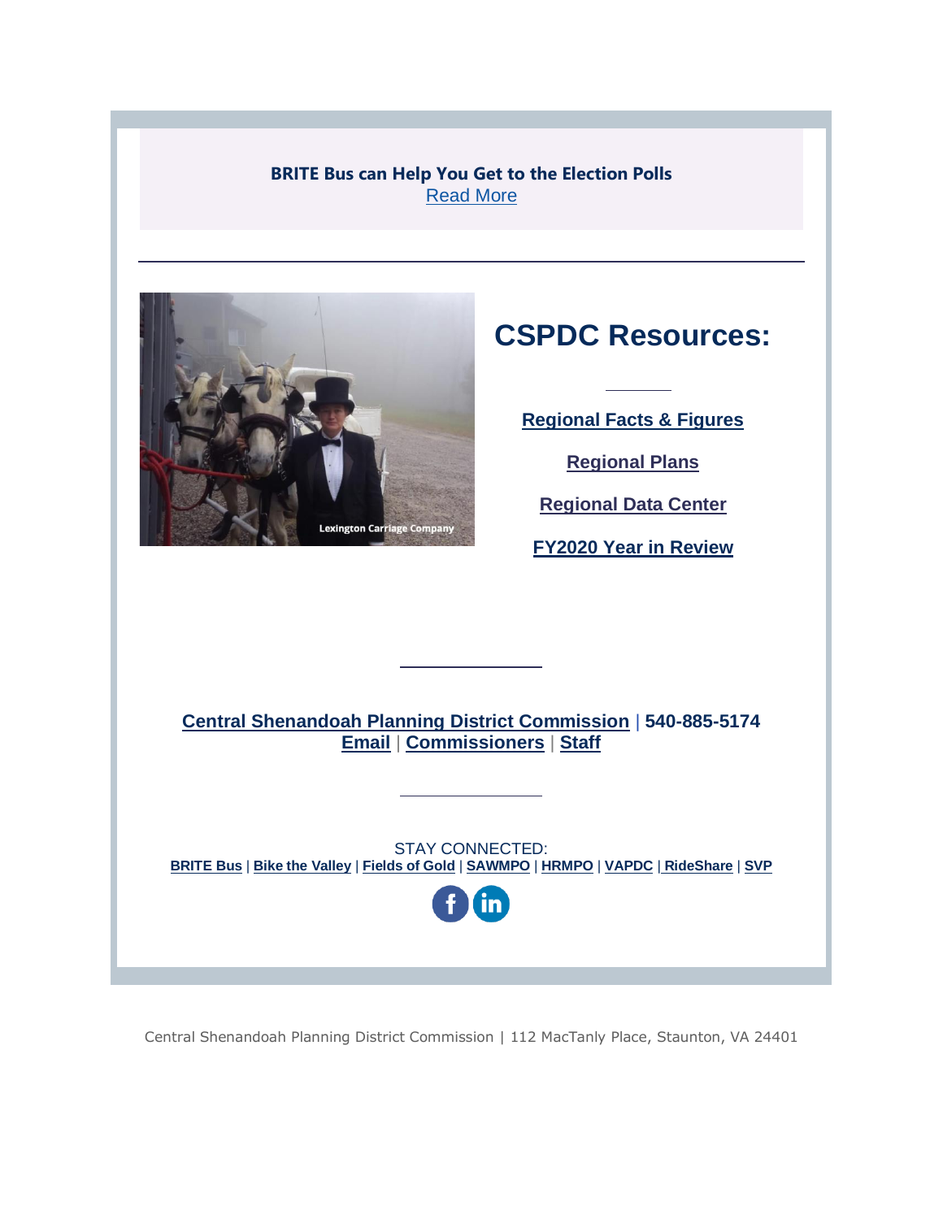**BRITE Bus can Help You Get to the Election Polls** [Read More](http://r20.rs6.net/tn.jsp?f=001QXRxc6kh5M_Vx0HXmuaCUmlw3cDzr7RaiAcLT0CjmOF-r3gibYpAxmges-xMluUpVN8UknaUyN_BktWyxJ1flJPVxeWs8huBsfysoAn2M7csZoDfJp7InOFaYCMx1Zv2rrIUrkdq2c5XVriPHzAY7Op88b_NEDlCPxSpn7XRbiTOZ5h2Wkwag6Q2XNCyfcnRYeq30JwD1Dg9vyxuOycf-ERpps09hYngWpmRhCFwwomuugLnjIC3fTz8vj4MpYRw5YTNpbvD8n7OB0gy9uT7ADmHBycXyB41MidgBeGIm7w=&c=L98p9Iwpe-HlFPFmjW9HopSRea0SAHSpBge6Uy4OzEBNCdIxYntpRg==&ch=wItw0GFX5sW61q5vnAv0fmzVhu0bwmD2EPOZf3jgIlbcfBQRPetmNg==)



# **CSPDC Resources:**

**[Regional Facts & Figures](http://r20.rs6.net/tn.jsp?f=001QXRxc6kh5M_Vx0HXmuaCUmlw3cDzr7RaiAcLT0CjmOF-r3gibYpAxmwwTBqKnMJBvrUNl-ZmgYkvO1rjPyiqL5EHhhu-cFmrOrYKV0AHdBTPhHcdGsXyLr1ad8oZrki_TtuaqNcukzQbXL7LzNoi4G4S9WdK-d3-&c=L98p9Iwpe-HlFPFmjW9HopSRea0SAHSpBge6Uy4OzEBNCdIxYntpRg==&ch=wItw0GFX5sW61q5vnAv0fmzVhu0bwmD2EPOZf3jgIlbcfBQRPetmNg==)** 

**[Regional Plans](http://r20.rs6.net/tn.jsp?f=001QXRxc6kh5M_Vx0HXmuaCUmlw3cDzr7RaiAcLT0CjmOF-r3gibYpAxgUOIlRNpgvaNSX2B_1kf54lpWIaX9dSd0xe3f6yTfSrGhBMrSz9xLKdDANvC-xQSHjns62Ya-EPipShsUlrge461gcgvkLfkC37PAfne5nV&c=L98p9Iwpe-HlFPFmjW9HopSRea0SAHSpBge6Uy4OzEBNCdIxYntpRg==&ch=wItw0GFX5sW61q5vnAv0fmzVhu0bwmD2EPOZf3jgIlbcfBQRPetmNg==)** 

**[Regional Data Center](http://r20.rs6.net/tn.jsp?f=001QXRxc6kh5M_Vx0HXmuaCUmlw3cDzr7RaiAcLT0CjmOF-r3gibYpAxgUOIlRNpgvaIt9Lv5VM-_tCxx3JPeQQTpHioDhqCSayDdwWH3K1lIxeOW-R4LxgYon7qwtL429B9M16h_s5k6o7ZAJBMWSgg7WwoRsg1qtU&c=L98p9Iwpe-HlFPFmjW9HopSRea0SAHSpBge6Uy4OzEBNCdIxYntpRg==&ch=wItw0GFX5sW61q5vnAv0fmzVhu0bwmD2EPOZf3jgIlbcfBQRPetmNg==)**

**[FY2020 Year in Review](http://r20.rs6.net/tn.jsp?f=001QXRxc6kh5M_Vx0HXmuaCUmlw3cDzr7RaiAcLT0CjmOF-r3gibYpAxsiGJG7M6OXQhf5pgZuOMmSf3e7xg4Jh-Y1wmQomgPtfDZcbSeVoZb23vXGDpLsKwi8DhVpf2SlhaYPGKEXiYC71W5FgfSkR0u46TG0FF27nLAiNGOqtXeokESYHIJJd3qGv5BhKER6sdaHTWN15zTQladUndqRPR9BHZVEGzqXRlipOfsPMaa8=&c=L98p9Iwpe-HlFPFmjW9HopSRea0SAHSpBge6Uy4OzEBNCdIxYntpRg==&ch=wItw0GFX5sW61q5vnAv0fmzVhu0bwmD2EPOZf3jgIlbcfBQRPetmNg==)**

**[Central Shenandoah Planning District Commission](http://r20.rs6.net/tn.jsp?f=001QXRxc6kh5M_Vx0HXmuaCUmlw3cDzr7RaiAcLT0CjmOF-r3gibYpAxs2ELOkCCeo2ttWcxcQQ-EqFWJuyJ68_nHniqGWjqhoWS0NcqsNwqVPUXw-dn0yUO-xRVzOpz8HeVpikNcH-k13vJ70F-HCEXg==&c=L98p9Iwpe-HlFPFmjW9HopSRea0SAHSpBge6Uy4OzEBNCdIxYntpRg==&ch=wItw0GFX5sW61q5vnAv0fmzVhu0bwmD2EPOZf3jgIlbcfBQRPetmNg==)** | **540-885-5174 [Email](mailto:kimberly@cspdc.org)** | **[Commissioners](http://r20.rs6.net/tn.jsp?f=001QXRxc6kh5M_Vx0HXmuaCUmlw3cDzr7RaiAcLT0CjmOF-r3gibYpAxmwwTBqKnMJBW8rhUxdk4EMNF4Z-b_2Wd0_J632pzj89RdXCXYot7h4BOBwYFp9ntEFze_8HrfSkBrxkrCyFdckcx_X_84RY0M_KHsQWNAUcvXZJMtNdWbur0vXUs2_piw==&c=L98p9Iwpe-HlFPFmjW9HopSRea0SAHSpBge6Uy4OzEBNCdIxYntpRg==&ch=wItw0GFX5sW61q5vnAv0fmzVhu0bwmD2EPOZf3jgIlbcfBQRPetmNg==)** | **[Staff](http://r20.rs6.net/tn.jsp?f=001QXRxc6kh5M_Vx0HXmuaCUmlw3cDzr7RaiAcLT0CjmOF-r3gibYpAxmwwTBqKnMJBBOnoWtpxYoAx8Id0I6gUhM-0njquVInM_qcD9h5IIJfihFQiX58yZvyUfGWKPDL36KlnmtWrDLlCGTatKN3P7VCbgPU6jeorhVC-YtPc5TM03VSg9En_qdbVk_RJPqGUehhjuVk5HQ-8AKnSZRC8bKfMDBm62ZcZS2Hcab99bV7_wH4dpxOMQbI0on_Mh2UEINKvFdynRsak1W-ztZvZYjc8J3CaY96qXAkUJ_Tv2eQ=&c=L98p9Iwpe-HlFPFmjW9HopSRea0SAHSpBge6Uy4OzEBNCdIxYntpRg==&ch=wItw0GFX5sW61q5vnAv0fmzVhu0bwmD2EPOZf3jgIlbcfBQRPetmNg==)**

STAY CONNECTED: **[BRITE Bus](http://r20.rs6.net/tn.jsp?f=001QXRxc6kh5M_Vx0HXmuaCUmlw3cDzr7RaiAcLT0CjmOF-r3gibYpAxoGAOTWLKEliVUv2tal2mzbtFqNCcoFIh_yrvpLHm4CZGRgRQCPnpgHc4bPl3JaXiG20nd6DjVuT2LneOi6xmQ75pwNDQ6BaDg==&c=L98p9Iwpe-HlFPFmjW9HopSRea0SAHSpBge6Uy4OzEBNCdIxYntpRg==&ch=wItw0GFX5sW61q5vnAv0fmzVhu0bwmD2EPOZf3jgIlbcfBQRPetmNg==)** | **[Bike the Valley](http://r20.rs6.net/tn.jsp?f=001QXRxc6kh5M_Vx0HXmuaCUmlw3cDzr7RaiAcLT0CjmOF-r3gibYpAxmEC6FML_gI1ZpNUEnBbeHwtIP2MjPUSHF8v-eiyJ3ok36xTSwBFHWvgbE3RvoVvFsIYeTfFSWAHRDmZfJ2l9Nll5kKKcohWww==&c=L98p9Iwpe-HlFPFmjW9HopSRea0SAHSpBge6Uy4OzEBNCdIxYntpRg==&ch=wItw0GFX5sW61q5vnAv0fmzVhu0bwmD2EPOZf3jgIlbcfBQRPetmNg==)** | **[Fields of Gold](http://r20.rs6.net/tn.jsp?f=001QXRxc6kh5M_Vx0HXmuaCUmlw3cDzr7RaiAcLT0CjmOF-r3gibYpAxs2ELOkCCeo2f-yYJWCrRrF5-nhB96be321JCWrOP0WIG0z9dSkcnsj3LJ7Rt_YImqZqWtDU0ZdwnRoXh3aisNZp-dPKxujlDw==&c=L98p9Iwpe-HlFPFmjW9HopSRea0SAHSpBge6Uy4OzEBNCdIxYntpRg==&ch=wItw0GFX5sW61q5vnAv0fmzVhu0bwmD2EPOZf3jgIlbcfBQRPetmNg==)** | **[SAWMPO](http://r20.rs6.net/tn.jsp?f=001QXRxc6kh5M_Vx0HXmuaCUmlw3cDzr7RaiAcLT0CjmOF-r3gibYpAxmEC6FML_gI1cKJLrpZjbZcDRZt_S9aNyRrvPdCkqNfNOSPFpFVOsI12NuxwFs-eF9PTo_IBL5EtZZWmArkg_gArQv__-IYFwQ==&c=L98p9Iwpe-HlFPFmjW9HopSRea0SAHSpBge6Uy4OzEBNCdIxYntpRg==&ch=wItw0GFX5sW61q5vnAv0fmzVhu0bwmD2EPOZf3jgIlbcfBQRPetmNg==)** | **[HRMPO](http://r20.rs6.net/tn.jsp?f=001QXRxc6kh5M_Vx0HXmuaCUmlw3cDzr7RaiAcLT0CjmOF-r3gibYpAxl0ZDm_jQ8MSKT5QMe-Y55e6l1PMLgg8WUlNpCIJj09JbDWlJs9M6ByZxWBRVIfFEqpDqx1-RldkEQaoMGO-_wdFS3YLys3ljA==&c=L98p9Iwpe-HlFPFmjW9HopSRea0SAHSpBge6Uy4OzEBNCdIxYntpRg==&ch=wItw0GFX5sW61q5vnAv0fmzVhu0bwmD2EPOZf3jgIlbcfBQRPetmNg==)** | **[VAPDC](http://r20.rs6.net/tn.jsp?f=001QXRxc6kh5M_Vx0HXmuaCUmlw3cDzr7RaiAcLT0CjmOF-r3gibYpAxtKMfz2dLiHEMXGRuKnFEhSgA5T_vBCZGSCyGGKI_6wKLDWjChw4kuNoLjs9ZNngFdp2admuISmtC_Lb7L6ZSKw=&c=L98p9Iwpe-HlFPFmjW9HopSRea0SAHSpBge6Uy4OzEBNCdIxYntpRg==&ch=wItw0GFX5sW61q5vnAv0fmzVhu0bwmD2EPOZf3jgIlbcfBQRPetmNg==)** | **[RideShare](http://r20.rs6.net/tn.jsp?f=001QXRxc6kh5M_Vx0HXmuaCUmlw3cDzr7RaiAcLT0CjmOF-r3gibYpAxmEC6FML_gI1re32QiFZpU2LB4y_0l06bivFBNoKNqh512TJZW_fM1NjGTZ_hcbm4jeaKCnX9ypPXvER951Dmq0Q5uvPoKKrUQ==&c=L98p9Iwpe-HlFPFmjW9HopSRea0SAHSpBge6Uy4OzEBNCdIxYntpRg==&ch=wItw0GFX5sW61q5vnAv0fmzVhu0bwmD2EPOZf3jgIlbcfBQRPetmNg==)** | **[SVP](http://r20.rs6.net/tn.jsp?f=001QXRxc6kh5M_Vx0HXmuaCUmlw3cDzr7RaiAcLT0CjmOF-r3gibYpAxgUOIlRNpgvaNe8edzmH0wgOdy6j0_qeFsGIOqFiq-8tOy0okDAjXZ-IiuQT1o8UYMvvjvv5C2yauB4MfOPvKKpQv7Un-xkRb3khiCxk-Hol&c=L98p9Iwpe-HlFPFmjW9HopSRea0SAHSpBge6Uy4OzEBNCdIxYntpRg==&ch=wItw0GFX5sW61q5vnAv0fmzVhu0bwmD2EPOZf3jgIlbcfBQRPetmNg==)**



Central Shenandoah Planning District Commission | 112 MacTanly Place, Staunton, VA 24401